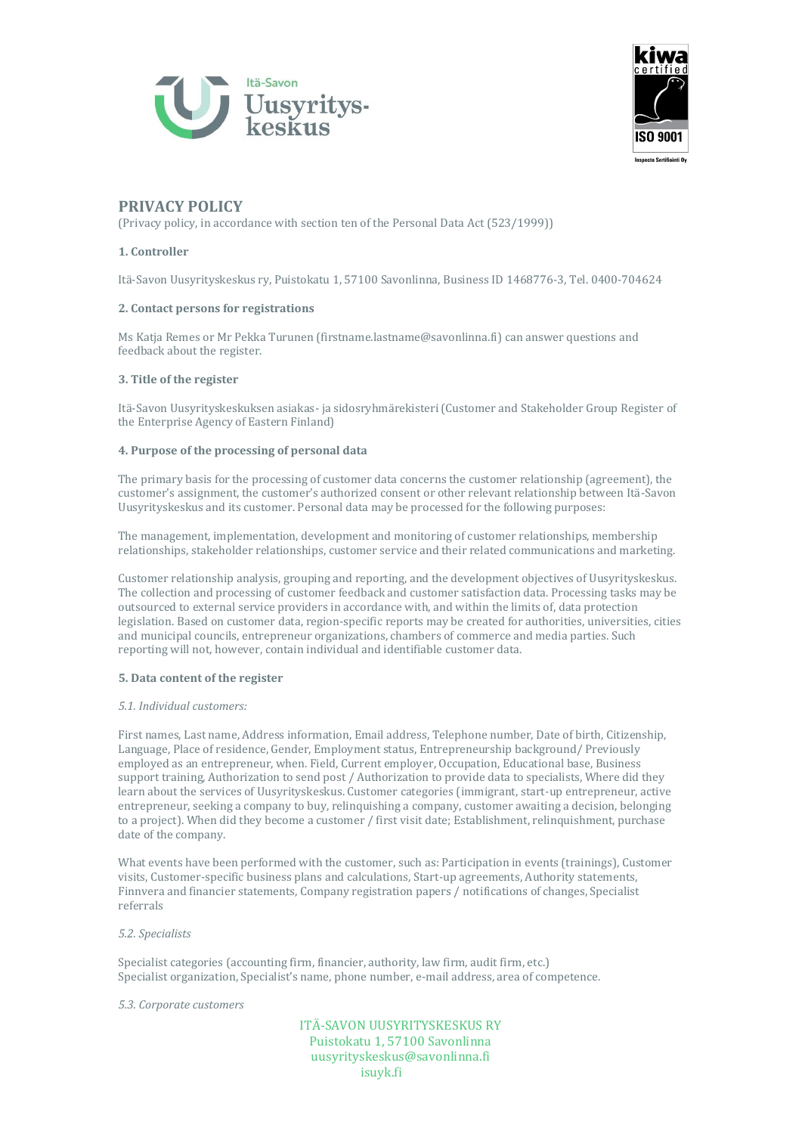



# **PRIVACY POLICY**

(Privacy policy, in accordance with section ten of the Personal Data Act (523/1999))

# **1. Controller**

Itä-Savon Uusyrityskeskus ry, Puistokatu 1, 57100 Savonlinna, Business ID 1468776-3, Tel. 0400-704624

# **2. Contact persons for registrations**

Ms Katja Remes or Mr Pekka Turunen (firstname.lastname@savonlinna.fi) can answer questions and feedback about the register.

# **3. Title of the register**

Itä-Savon Uusyrityskeskuksen asiakas- ja sidosryhmärekisteri (Customer and Stakeholder Group Register of the Enterprise Agency of Eastern Finland)

# **4. Purpose of the processing of personal data**

The primary basis for the processing of customer data concerns the customer relationship (agreement), the customer's assignment, the customer's authorized consent or other relevant relationship between Itä-Savon Uusyrityskeskus and its customer. Personal data may be processed for the following purposes:

The management, implementation, development and monitoring of customer relationships, membership relationships, stakeholder relationships, customer service and their related communications and marketing.

Customer relationship analysis, grouping and reporting, and the development objectives of Uusyrityskeskus. The collection and processing of customer feedback and customer satisfaction data. Processing tasks may be outsourced to external service providers in accordance with, and within the limits of, data protection legislation. Based on customer data, region-specific reports may be created for authorities, universities, cities and municipal councils, entrepreneur organizations, chambers of commerce and media parties. Such reporting will not, however, contain individual and identifiable customer data.

# **5. Data content of the register**

# *5.1. Individual customers:*

First names, Last name, Address information, Email address, Telephone number, Date of birth, Citizenship, Language, Place of residence, Gender, Employment status, Entrepreneurship background/ Previously employed as an entrepreneur, when. Field, Current employer, Occupation, Educational base, Business support training, Authorization to send post / Authorization to provide data to specialists, Where did they learn about the services of Uusyrityskeskus. Customer categories (immigrant, start-up entrepreneur, active entrepreneur, seeking a company to buy, relinquishing a company, customer awaiting a decision, belonging to a project). When did they become a customer / first visit date; Establishment, relinquishment, purchase date of the company.

What events have been performed with the customer, such as: Participation in events (trainings), Customer visits, Customer-specific business plans and calculations, Start-up agreements, Authority statements, Finnvera and financier statements, Company registration papers / notifications of changes, Specialist referrals

# *5.2. Specialists*

Specialist categories (accounting firm, financier, authority, law firm, audit firm, etc.) Specialist organization, Specialist's name, phone number, e-mail address, area of competence.

# *5.3. Corporate customers*

ITÄ-SAVON UUSYRITYSKESKUS RY Puistokatu 1, 57100 Savonlinna [uusyrityskeskus@savonlinna.fi](mailto:uusyrityskeskus@savonlinna.fi) isuyk.fi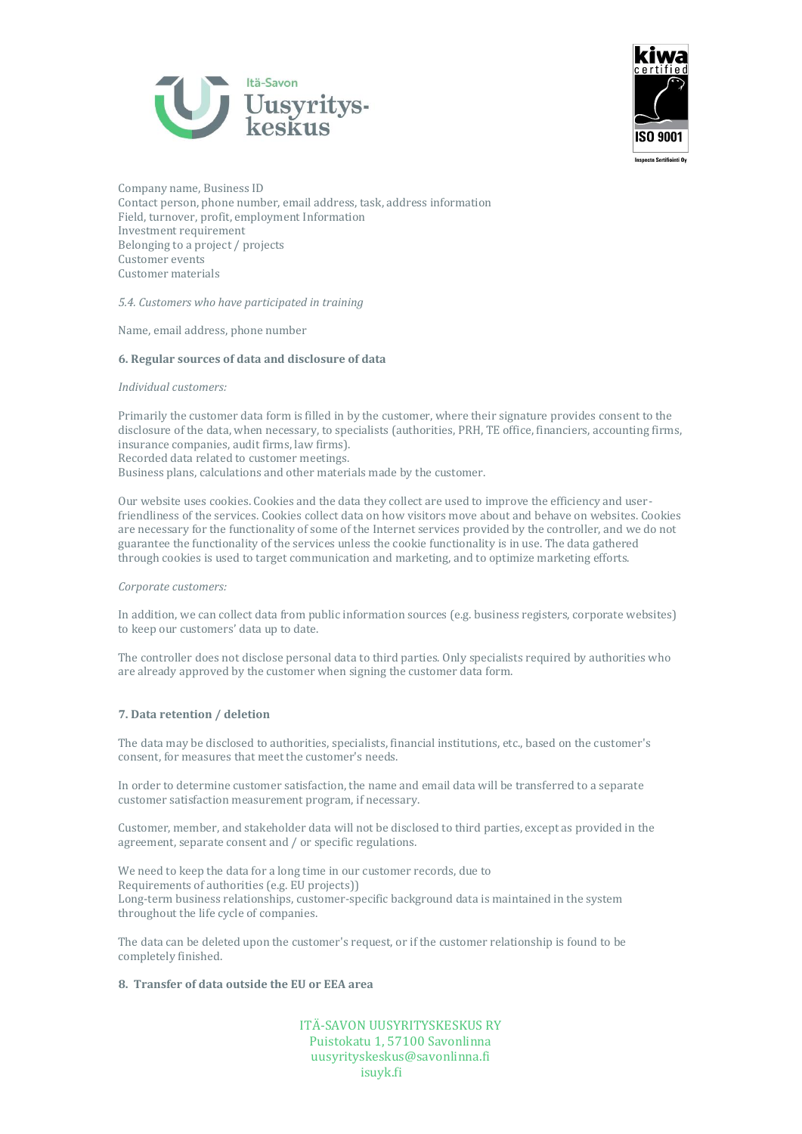



Company name, Business ID Contact person, phone number, email address, task, address information Field, turnover, profit, employment Information Investment requirement Belonging to a project / projects Customer events Customer materials

*5.4. Customers who have participated in training*

Name, email address, phone number

#### **6. Regular sources of data and disclosure of data**

*Individual customers:*

Primarily the customer data form is filled in by the customer, where their signature provides consent to the disclosure of the data, when necessary, to specialists (authorities, PRH, TE office, financiers, accounting firms, insurance companies, audit firms, law firms). Recorded data related to customer meetings. Business plans, calculations and other materials made by the customer.

Our website uses cookies. Cookies and the data they collect are used to improve the efficiency and userfriendliness of the services. Cookies collect data on how visitors move about and behave on websites. Cookies are necessary for the functionality of some of the Internet services provided by the controller, and we do not guarantee the functionality of the services unless the cookie functionality is in use. The data gathered through cookies is used to target communication and marketing, and to optimize marketing efforts.

#### *Corporate customers:*

In addition, we can collect data from public information sources (e.g. business registers, corporate websites) to keep our customers' data up to date.

The controller does not disclose personal data to third parties. Only specialists required by authorities who are already approved by the customer when signing the customer data form.

# **7. Data retention / deletion**

The data may be disclosed to authorities, specialists, financial institutions, etc., based on the customer's consent, for measures that meet the customer's needs.

In order to determine customer satisfaction, the name and email data will be transferred to a separate customer satisfaction measurement program, if necessary.

Customer, member, and stakeholder data will not be disclosed to third parties, except as provided in the agreement, separate consent and / or specific regulations.

We need to keep the data for a long time in our customer records, due to Requirements of authorities (e.g. EU projects)) Long-term business relationships, customer-specific background data is maintained in the system throughout the life cycle of companies.

The data can be deleted upon the customer's request, or if the customer relationship is found to be completely finished.

# **8. Transfer of data outside the EU or EEA area**

ITÄ-SAVON UUSYRITYSKESKUS RY Puistokatu 1, 57100 Savonlinna [uusyrityskeskus@savonlinna.fi](mailto:uusyrityskeskus@savonlinna.fi) isuyk.fi